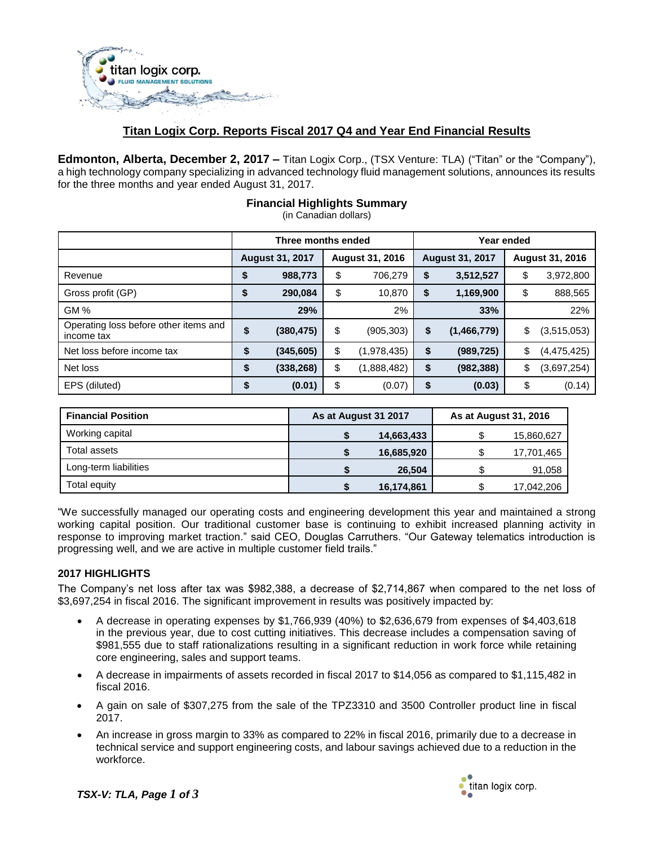

# **Titan Logix Corp. Reports Fiscal 2017 Q4 and Year End Financial Results**

**Edmonton, Alberta, December 2, 2017 –** Titan Logix Corp., (TSX Venture: TLA) ("Titan" or the "Company"), a high technology company specializing in advanced technology fluid management solutions, announces its results for the three months and year ended August 31, 2017.

|                                                     | Three months ended     |            |                        |             | Year ended             |             |                 |               |
|-----------------------------------------------------|------------------------|------------|------------------------|-------------|------------------------|-------------|-----------------|---------------|
|                                                     | <b>August 31, 2017</b> |            | <b>August 31, 2016</b> |             | <b>August 31, 2017</b> |             | August 31, 2016 |               |
| Revenue                                             | \$                     | 988,773    | \$                     | 706,279     | \$                     | 3,512,527   | \$              | 3,972,800     |
| Gross profit (GP)                                   | \$                     | 290,084    | \$                     | 10,870      | \$                     | 1,169,900   | \$              | 888,565       |
| <b>GM%</b>                                          |                        | 29%        |                        | 2%          |                        | 33%         |                 | 22%           |
| Operating loss before other items and<br>income tax | \$                     | (380, 475) | \$                     | (905, 303)  | \$                     | (1,466,779) | \$              | (3,515,053)   |
| Net loss before income tax                          | \$                     | (345, 605) | \$                     | (1,978,435) | \$                     | (989, 725)  | \$              | (4, 475, 425) |
| Net loss                                            | \$                     | (338, 268) | \$                     | (1,888,482) | \$                     | (982, 388)  | \$              | (3,697,254)   |
| EPS (diluted)                                       |                        | (0.01)     | \$                     | (0.07)      |                        | (0.03)      | \$              | (0.14)        |

### **Financial Highlights Summary**

(in Canadian dollars)

| <b>Financial Position</b> | As at August 31 2017 |            | As at August 31, 2016 |            |  |
|---------------------------|----------------------|------------|-----------------------|------------|--|
| Working capital           |                      | 14,663,433 |                       | 15,860,627 |  |
| Total assets              |                      | 16,685,920 |                       | 17,701,465 |  |
| Long-term liabilities     |                      | 26,504     |                       | 91,058     |  |
| Total equity              |                      | 16,174,861 |                       | 17,042,206 |  |

"We successfully managed our operating costs and engineering development this year and maintained a strong working capital position. Our traditional customer base is continuing to exhibit increased planning activity in response to improving market traction." said CEO, Douglas Carruthers. "Our Gateway telematics introduction is progressing well, and we are active in multiple customer field trails."

#### **2017 HIGHLIGHTS**

The Company's net loss after tax was \$982,388, a decrease of \$2,714,867 when compared to the net loss of \$3,697,254 in fiscal 2016. The significant improvement in results was positively impacted by:

- A decrease in operating expenses by \$1,766,939 (40%) to \$2,636,679 from expenses of \$4,403,618 in the previous year, due to cost cutting initiatives. This decrease includes a compensation saving of \$981,555 due to staff rationalizations resulting in a significant reduction in work force while retaining core engineering, sales and support teams.
- A decrease in impairments of assets recorded in fiscal 2017 to \$14,056 as compared to \$1,115,482 in fiscal 2016.
- A gain on sale of \$307,275 from the sale of the TPZ3310 and 3500 Controller product line in fiscal 2017.
- An increase in gross margin to 33% as compared to 22% in fiscal 2016, primarily due to a decrease in technical service and support engineering costs, and labour savings achieved due to a reduction in the workforce.

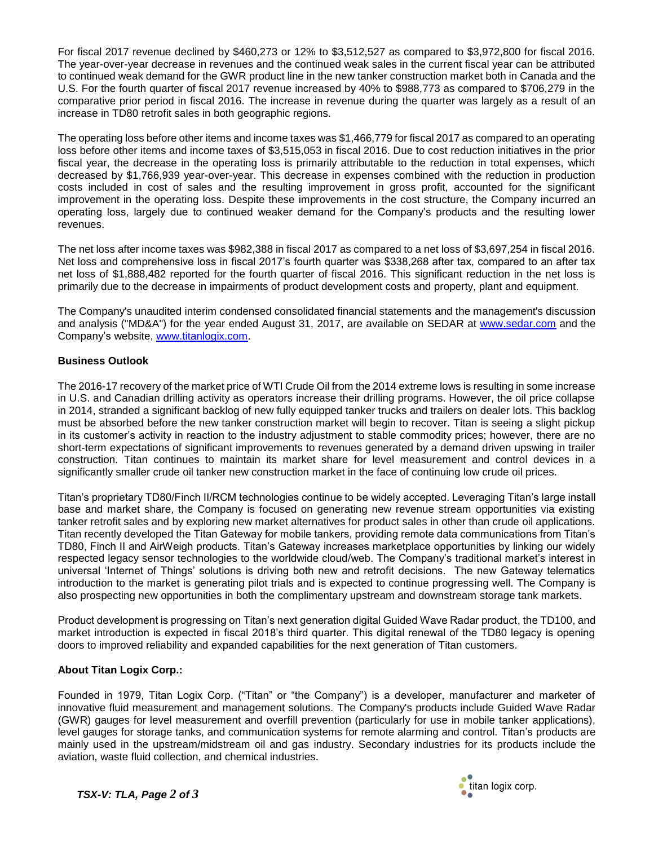For fiscal 2017 revenue declined by \$460,273 or 12% to \$3,512,527 as compared to \$3,972,800 for fiscal 2016. The year-over-year decrease in revenues and the continued weak sales in the current fiscal year can be attributed to continued weak demand for the GWR product line in the new tanker construction market both in Canada and the U.S. For the fourth quarter of fiscal 2017 revenue increased by 40% to \$988,773 as compared to \$706,279 in the comparative prior period in fiscal 2016. The increase in revenue during the quarter was largely as a result of an increase in TD80 retrofit sales in both geographic regions.

The operating loss before other items and income taxes was \$1,466,779 for fiscal 2017 as compared to an operating loss before other items and income taxes of \$3,515,053 in fiscal 2016. Due to cost reduction initiatives in the prior fiscal year, the decrease in the operating loss is primarily attributable to the reduction in total expenses, which decreased by \$1,766,939 year-over-year. This decrease in expenses combined with the reduction in production costs included in cost of sales and the resulting improvement in gross profit, accounted for the significant improvement in the operating loss. Despite these improvements in the cost structure, the Company incurred an operating loss, largely due to continued weaker demand for the Company's products and the resulting lower revenues.

The net loss after income taxes was \$982,388 in fiscal 2017 as compared to a net loss of \$3,697,254 in fiscal 2016. Net loss and comprehensive loss in fiscal 2017's fourth quarter was \$338,268 after tax, compared to an after tax net loss of \$1,888,482 reported for the fourth quarter of fiscal 2016. This significant reduction in the net loss is primarily due to the decrease in impairments of product development costs and property, plant and equipment.

The Company's unaudited interim condensed consolidated financial statements and the management's discussion and analysis ("MD&A") for the year ended August 31, 2017, are available on SEDAR at [www.sedar.com](http://www.sedar.com/) and the Company's website, [www.titanlogix.com.](http://www.titanlogix.com/)

# **Business Outlook**

The 2016-17 recovery of the market price of WTI Crude Oil from the 2014 extreme lows is resulting in some increase in U.S. and Canadian drilling activity as operators increase their drilling programs. However, the oil price collapse in 2014, stranded a significant backlog of new fully equipped tanker trucks and trailers on dealer lots. This backlog must be absorbed before the new tanker construction market will begin to recover. Titan is seeing a slight pickup in its customer's activity in reaction to the industry adjustment to stable commodity prices; however, there are no short-term expectations of significant improvements to revenues generated by a demand driven upswing in trailer construction. Titan continues to maintain its market share for level measurement and control devices in a significantly smaller crude oil tanker new construction market in the face of continuing low crude oil prices.

Titan's proprietary TD80/Finch II/RCM technologies continue to be widely accepted. Leveraging Titan's large install base and market share, the Company is focused on generating new revenue stream opportunities via existing tanker retrofit sales and by exploring new market alternatives for product sales in other than crude oil applications. Titan recently developed the Titan Gateway for mobile tankers, providing remote data communications from Titan's TD80, Finch II and AirWeigh products. Titan's Gateway increases marketplace opportunities by linking our widely respected legacy sensor technologies to the worldwide cloud/web. The Company's traditional market's interest in universal 'Internet of Things' solutions is driving both new and retrofit decisions. The new Gateway telematics introduction to the market is generating pilot trials and is expected to continue progressing well. The Company is also prospecting new opportunities in both the complimentary upstream and downstream storage tank markets.

Product development is progressing on Titan's next generation digital Guided Wave Radar product, the TD100, and market introduction is expected in fiscal 2018's third quarter. This digital renewal of the TD80 legacy is opening doors to improved reliability and expanded capabilities for the next generation of Titan customers.

# **About Titan Logix Corp.:**

Founded in 1979, Titan Logix Corp. ("Titan" or "the Company") is a developer, manufacturer and marketer of innovative fluid measurement and management solutions. The Company's products include Guided Wave Radar (GWR) gauges for level measurement and overfill prevention (particularly for use in mobile tanker applications), level gauges for storage tanks, and communication systems for remote alarming and control. Titan's products are mainly used in the upstream/midstream oil and gas industry. Secondary industries for its products include the aviation, waste fluid collection, and chemical industries.